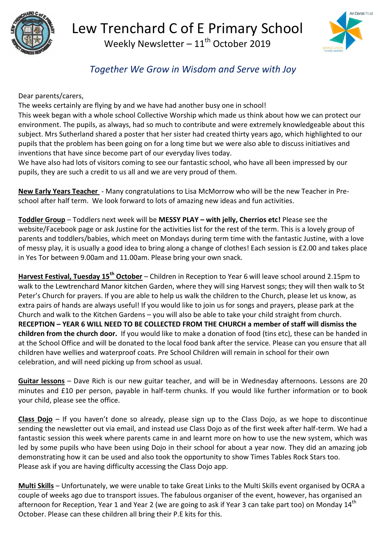

## Lew Trenchard C of E Primary School Weekly Newsletter –  $11^{th}$  October 2019



## *Together We Grow in Wisdom and Serve with Joy*

## Dear parents/carers,

The weeks certainly are flying by and we have had another busy one in school!

This week began with a whole school Collective Worship which made us think about how we can protect our environment. The pupils, as always, had so much to contribute and were extremely knowledgeable about this subject. Mrs Sutherland shared a poster that her sister had created thirty years ago, which highlighted to our pupils that the problem has been going on for a long time but we were also able to discuss initiatives and inventions that have since become part of our everyday lives today.

We have also had lots of visitors coming to see our fantastic school, who have all been impressed by our pupils, they are such a credit to us all and we are very proud of them.

**New Early Years Teacher** - Many congratulations to Lisa McMorrow who will be the new Teacher in Preschool after half term. We look forward to lots of amazing new ideas and fun activities.

**Toddler Group** – Toddlers next week will be **MESSY PLAY – with jelly, Cherrios etc!** Please see the website/Facebook page or ask Justine for the activities list for the rest of the term. This is a lovely group of parents and toddlers/babies, which meet on Mondays during term time with the fantastic Justine, with a love of messy play, it is usually a good idea to bring along a change of clothes! Each session is £2.00 and takes place in Yes Tor between 9.00am and 11.00am. Please bring your own snack.

**Harvest Festival, Tuesday 15th October** – Children in Reception to Year 6 will leave school around 2.15pm to walk to the Lewtrenchard Manor kitchen Garden, where they will sing Harvest songs; they will then walk to St Peter's Church for prayers. If you are able to help us walk the children to the Church, please let us know, as extra pairs of hands are always useful! If you would like to join us for songs and prayers, please park at the Church and walk to the Kitchen Gardens – you will also be able to take your child straight from church. **RECEPTION – YEAR 6 WILL NEED TO BE COLLECTED FROM THE CHURCH a member of staff will dismiss the children from the church door.** If you would like to make a donation of food (tins etc), these can be handed in at the School Office and will be donated to the local food bank after the service. Please can you ensure that all children have wellies and waterproof coats. Pre School Children will remain in school for their own celebration, and will need picking up from school as usual.

**Guitar lessons** – Dave Rich is our new guitar teacher, and will be in Wednesday afternoons. Lessons are 20 minutes and £10 per person, payable in half-term chunks. If you would like further information or to book your child, please see the office.

**Class Dojo** – If you haven't done so already, please sign up to the Class Dojo, as we hope to discontinue sending the newsletter out via email, and instead use Class Dojo as of the first week after half-term. We had a fantastic session this week where parents came in and learnt more on how to use the new system, which was led by some pupils who have been using Dojo in their school for about a year now. They did an amazing job demonstrating how it can be used and also took the opportunity to show Times Tables Rock Stars too. Please ask if you are having difficulty accessing the Class Dojo app.

**Multi Skills** – Unfortunately, we were unable to take Great Links to the Multi Skills event organised by OCRA a couple of weeks ago due to transport issues. The fabulous organiser of the event, however, has organised an afternoon for Reception, Year 1 and Year 2 (we are going to ask if Year 3 can take part too) on Monday 14<sup>th</sup> October. Please can these children all bring their P.E kits for this.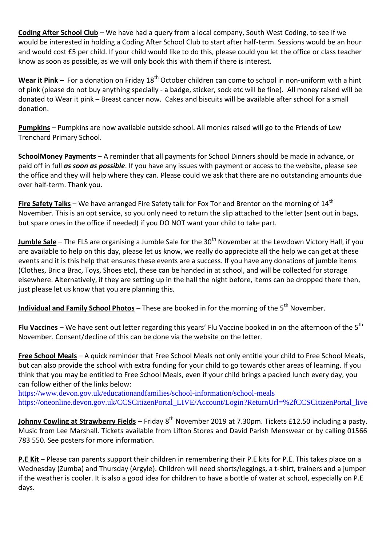**Coding After School Club** – We have had a query from a local company, South West Coding, to see if we would be interested in holding a Coding After School Club to start after half-term. Sessions would be an hour and would cost £5 per child. If your child would like to do this, please could you let the office or class teacher know as soon as possible, as we will only book this with them if there is interest.

**Wear it Pink –** For a donation on Friday 18<sup>th</sup> October children can come to school in non-uniform with a hint of pink (please do not buy anything specially - a badge, sticker, sock etc will be fine). All money raised will be donated to Wear it pink – Breast cancer now. Cakes and biscuits will be available after school for a small donation.

**Pumpkins** – Pumpkins are now available outside school. All monies raised will go to the Friends of Lew Trenchard Primary School.

**SchoolMoney Payments** – A reminder that all payments for School Dinners should be made in advance, or paid off in full *as soon as possible*. If you have any issues with payment or access to the website, please see the office and they will help where they can. Please could we ask that there are no outstanding amounts due over half-term. Thank you.

**Fire Safety Talks** – We have arranged Fire Safety talk for Fox Tor and Brentor on the morning of 14<sup>th</sup> November. This is an opt service, so you only need to return the slip attached to the letter (sent out in bags, but spare ones in the office if needed) if you DO NOT want your child to take part.

**Jumble Sale** – The FLS are organising a Jumble Sale for the 30<sup>th</sup> November at the Lewdown Victory Hall, if you are available to help on this day, please let us know, we really do appreciate all the help we can get at these events and it is this help that ensures these events are a success. If you have any donations of jumble items (Clothes, Bric a Brac, Toys, Shoes etc), these can be handed in at school, and will be collected for storage elsewhere. Alternatively, if they are setting up in the hall the night before, items can be dropped there then, just please let us know that you are planning this.

**Individual and Family School Photos** – These are booked in for the morning of the 5<sup>th</sup> November.

**Flu Vaccines** – We have sent out letter regarding this years' Flu Vaccine booked in on the afternoon of the 5<sup>th</sup> November. Consent/decline of this can be done via the website on the letter.

**Free School Meals** – A quick reminder that Free School Meals not only entitle your child to Free School Meals, but can also provide the school with extra funding for your child to go towards other areas of learning. If you think that you may be entitled to Free School Meals, even if your child brings a packed lunch every day, you can follow either of the links below:

<https://www.devon.gov.uk/educationandfamilies/school-information/school-meals> [https://oneonline.devon.gov.uk/CCSCitizenPortal\\_LIVE/Account/Login?ReturnUrl=%2fCCSCitizenPortal\\_live](https://oneonline.devon.gov.uk/CCSCitizenPortal_LIVE/Account/Login?ReturnUrl=%2fCCSCitizenPortal_live)

**Johnny Cowling at Strawberry Fields** – Friday 8<sup>th</sup> November 2019 at 7.30pm. Tickets £12.50 including a pasty. Music from Lee Marshall. Tickets available from Lifton Stores and David Parish Menswear or by calling 01566 783 550. See posters for more information.

**P.E Kit** – Please can parents support their children in remembering their P.E kits for P.E. This takes place on a Wednesday (Zumba) and Thursday (Argyle). Children will need shorts/leggings, a t-shirt, trainers and a jumper if the weather is cooler. It is also a good idea for children to have a bottle of water at school, especially on P.E days.